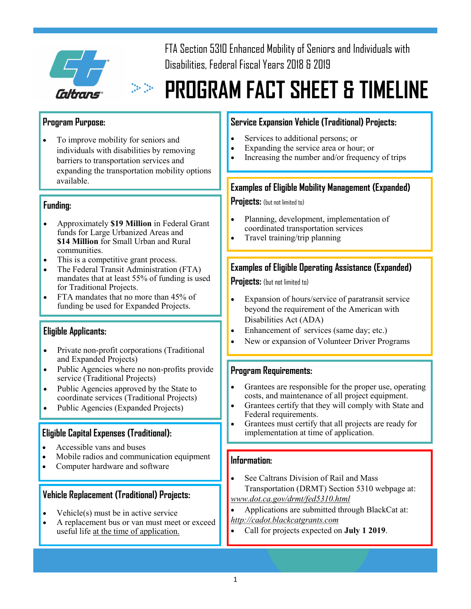

FTA Section 5310 Enhanced Mobility of Seniors and Individuals with Disabilities, Federal Fiscal Years 2018 & 2019

# **PROGRAM FACT SHEET & TIMELINE**

### **Program Purpose:**

To improve mobility for seniors and individuals with disabilities by removing barriers to transportation services and expanding the transportation mobility options available.

### **Funding:**

- Approximately **\$19 Million** in Federal Grant funds for Large Urbanized Areas and **\$14 Million** for Small Urban and Rural communities.
- This is a competitive grant process.
- The Federal Transit Administration (FTA) mandates that at least 55% of funding is used for Traditional Projects.
- FTA mandates that no more than 45% of funding be used for Expanded Projects.

### **Eligible Applicants:**

- Private non-profit corporations (Traditional and Expanded Projects)
- Public Agencies where no non-profits provide service (Traditional Projects)
- Public Agencies approved by the State to coordinate services (Traditional Projects)
- Public Agencies (Expanded Projects)

### **Eligible Capital Expenses (Traditional):**

- Accessible vans and buses
- Mobile radios and communication equipment
- Computer hardware and software

### **Vehicle Replacement (Traditional) Projects:**

- Vehicle(s) must be in active service
- A replacement bus or van must meet or exceed useful life <u>at the time of application.</u>

## **Service Expansion Vehicle (Traditional) Projects:**

- Services to additional persons; or
- Expanding the service area or hour; or
- Increasing the number and/or frequency of trips

### **Examples of Eligible Mobility Management (Expanded)**

**Projects:** (but not limited to)

- Planning, development, implementation of coordinated transportation services
- Travel training/trip planning

### **Examples of Eligible Operating Assistance (Expanded)**

**Projects:** (but not limited to)

- Expansion of hours/service of paratransit service beyond the requirement of the American with Disabilities Act (ADA)
- Enhancement of services (same day; etc.)
- New or expansion of Volunteer Driver Programs

### **Program Requirements:**

- Grantees are responsible for the proper use, operating costs, and maintenance of all project equipment.
- Grantees certify that they will comply with State and Federal requirements.
- Grantees must certify that all projects are ready for implementation at time of application.

### **Information:**

- See Caltrans Division of Rail and Mass Transportation (DRMT) Section 5310 webpage at: *[www.dot.ca.gov/drmt/fed5310.html](http://www.dot.ca.gov/drmt/fed5310.html)*
- Applications are submitted through BlackCat at:
- *<http://cadot.blackcatgrants.com>*
	- Call for projects expected on **July 1 2019**.